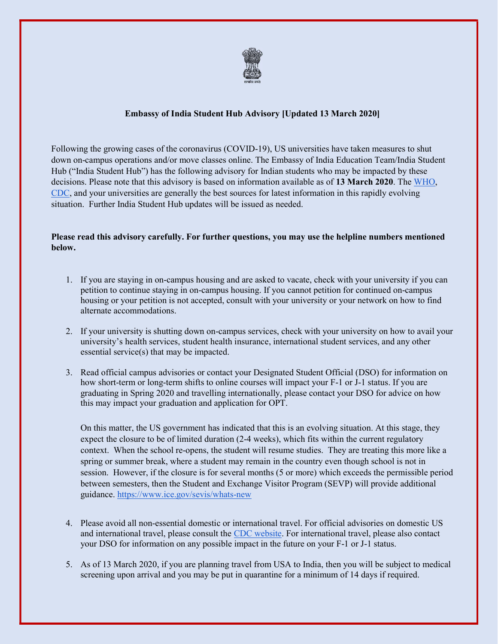

## Embassy of India Student Hub Advisory [Updated 13 March 2020]

Following the growing cases of the coronavirus (COVID-19), US universities have taken measures to shut down on-campus operations and/or move classes online. The Embassy of India Education Team/India Student Hub ("India Student Hub") has the following advisory for Indian students who may be impacted by these decisions. Please note that this advisory is based on information available as of 13 March 2020. The WHO, CDC, and your universities are generally the best sources for latest information in this rapidly evolving situation. Further India Student Hub updates will be issued as needed.

## Please read this advisory carefully. For further questions, you may use the helpline numbers mentioned below.

- 1. If you are staying in on-campus housing and are asked to vacate, check with your university if you can petition to continue staying in on-campus housing. If you cannot petition for continued on-campus housing or your petition is not accepted, consult with your university or your network on how to find alternate accommodations.
- 2. If your university is shutting down on-campus services, check with your university on how to avail your university's health services, student health insurance, international student services, and any other essential service(s) that may be impacted.
- 3. Read official campus advisories or contact your Designated Student Official (DSO) for information on how short-term or long-term shifts to online courses will impact your F-1 or J-1 status. If you are graduating in Spring 2020 and travelling internationally, please contact your DSO for advice on how this may impact your graduation and application for OPT.

On this matter, the US government has indicated that this is an evolving situation. At this stage, they expect the closure to be of limited duration (2-4 weeks), which fits within the current regulatory context. When the school re-opens, the student will resume studies. They are treating this more like a spring or summer break, where a student may remain in the country even though school is not in session. However, if the closure is for several months (5 or more) which exceeds the permissible period between semesters, then the Student and Exchange Visitor Program (SEVP) will provide additional guidance. https://www.ice.gov/sevis/whats-new

- 4. Please avoid all non-essential domestic or international travel. For official advisories on domestic US and international travel, please consult the CDC website. For international travel, please also contact your DSO for information on any possible impact in the future on your F-1 or J-1 status.
- 5. As of 13 March 2020, if you are planning travel from USA to India, then you will be subject to medical screening upon arrival and you may be put in quarantine for a minimum of 14 days if required.